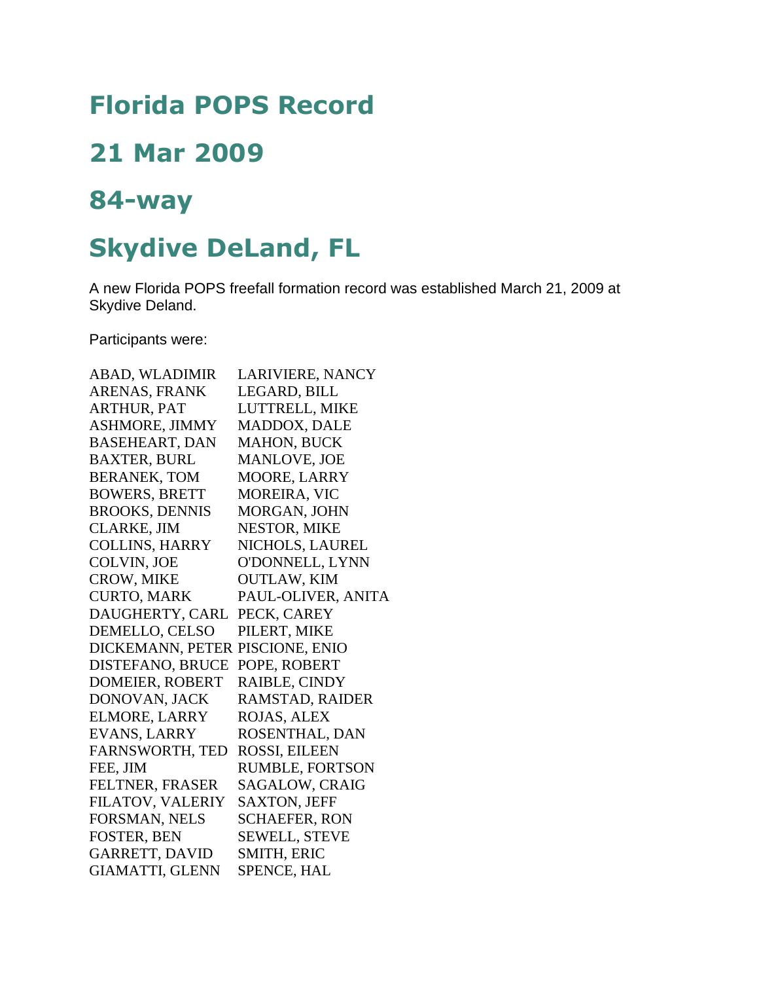## **Florida POPS Record**

## **21 Mar 2009**

## **84-way**

## **Skydive DeLand, FL**

A new Florida POPS freefall formation record was established March 21, 2009 at Skydive Deland.

Participants were:

| ABAD, WLADIMIR                  | LARIVIERE, NANCY       |
|---------------------------------|------------------------|
| ARENAS, FRANK                   | LEGARD, BILL           |
| <b>ARTHUR, PAT</b>              | LUTTRELL, MIKE         |
| ASHMORE, JIMMY                  | MADDOX, DALE           |
| <b>BASEHEART, DAN</b>           | <b>MAHON, BUCK</b>     |
| <b>BAXTER, BURL</b>             | <b>MANLOVE, JOE</b>    |
| <b>BERANEK, TOM</b>             | <b>MOORE, LARRY</b>    |
| <b>BOWERS, BRETT</b>            | <b>MOREIRA, VIC</b>    |
| <b>BROOKS, DENNIS</b>           | MORGAN, JOHN           |
| <b>CLARKE, JIM</b>              | NESTOR, MIKE           |
| <b>COLLINS, HARRY</b>           | NICHOLS, LAUREL        |
| COLVIN, JOE                     | O'DONNELL, LYNN        |
| CROW, MIKE                      | <b>OUTLAW, KIM</b>     |
| <b>CURTO, MARK</b>              | PAUL-OLIVER, ANITA     |
| DAUGHERTY, CARL                 | PECK, CAREY            |
| DEMELLO, CELSO                  | PILERT, MIKE           |
| DICKEMANN, PETER PISCIONE, ENIO |                        |
| DISTEFANO, BRUCE                | POPE, ROBERT           |
| <b>DOMEIER, ROBERT</b>          | RAIBLE, CINDY          |
| DONOVAN, JACK                   | RAMSTAD, RAIDER        |
| <b>ELMORE, LARRY</b>            | ROJAS, ALEX            |
| <b>EVANS, LARRY</b>             | ROSENTHAL, DAN         |
| <b>FARNSWORTH, TED</b>          | <b>ROSSI, EILEEN</b>   |
| FEE, JIM                        | <b>RUMBLE, FORTSON</b> |
| <b>FELTNER, FRASER</b>          | SAGALOW, CRAIG         |
| FILATOV, VALERIY                | <b>SAXTON, JEFF</b>    |
| FORSMAN, NELS                   | <b>SCHAEFER, RON</b>   |
| <b>FOSTER, BEN</b>              | <b>SEWELL, STEVE</b>   |
| <b>GARRETT, DAVID</b>           | <b>SMITH, ERIC</b>     |
| <b>GIAMATTI, GLENN</b>          | <b>SPENCE, HAL</b>     |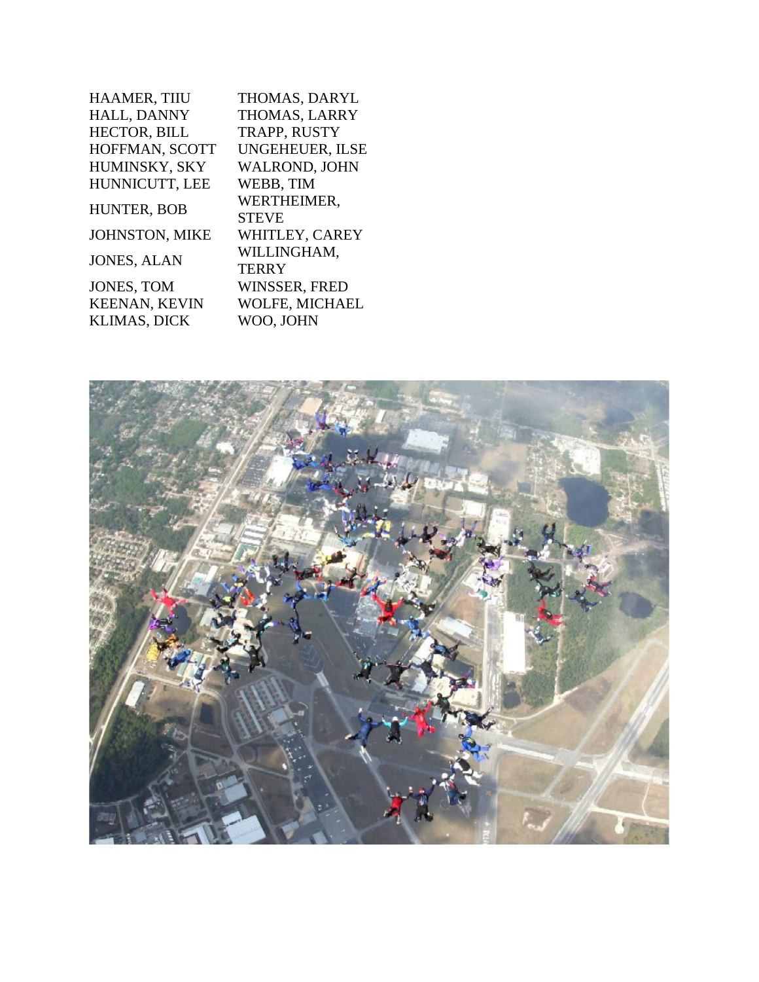| <b>HAAMER, TIIU</b>   | THOMAS, DARYL          |
|-----------------------|------------------------|
| HALL, DANNY           | THOMAS, LARRY          |
| <b>HECTOR, BILL</b>   | TRAPP, RUSTY           |
| HOFFMAN, SCOTT        | <b>UNGEHEUER, ILSE</b> |
| HUMINSKY, SKY         | WALROND, JOHN          |
| HUNNICUTT, LEE        | WEBB, TIM              |
| HUNTER, BOB           | WERTHEIMER,            |
|                       | <b>STEVE</b>           |
| <b>JOHNSTON, MIKE</b> | WHITLEY, CAREY         |
| <b>JONES, ALAN</b>    | WILLINGHAM,            |
|                       | <b>TERRY</b>           |
| <b>JONES, TOM</b>     | <b>WINSSER, FRED</b>   |
| <b>KEENAN, KEVIN</b>  | WOLFE, MICHAEL         |
| <b>KLIMAS, DICK</b>   | WOO, JOHN              |
|                       |                        |